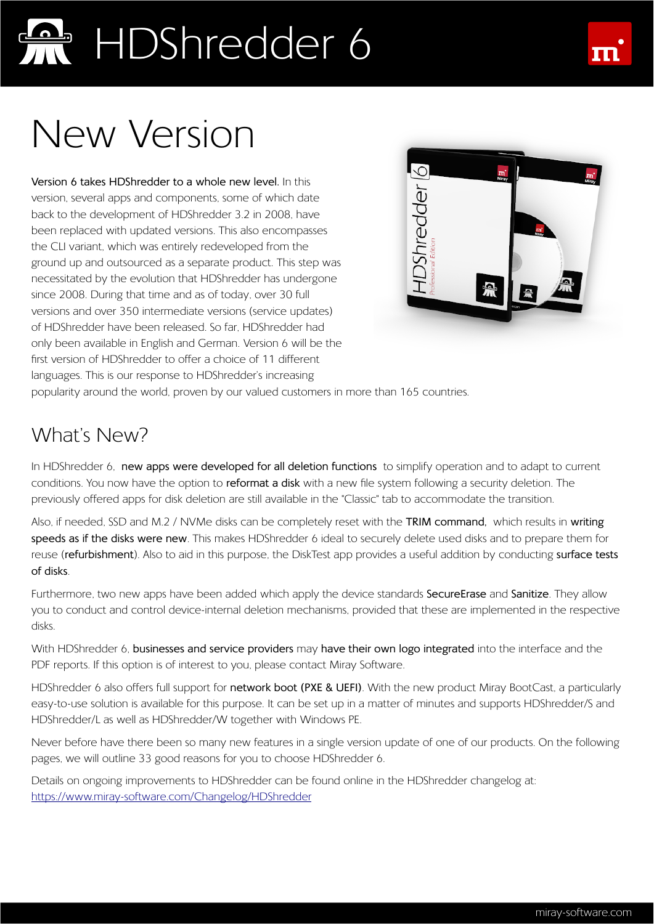### New Version

**Version 6 takes HDShredder to a whole new level.** In this version, several apps and components, some of which date back to the development of HDShredder 3.2 in 2008, have been replaced with updated versions. This also encompasses the CLI variant, which was entirely redeveloped from the ground up and outsourced as a separate product. This step was necessitated by the evolution that HDShredder has undergone since 2008. During that time and as of today, over 30 full versions and over 350 intermediate versions (service updates) of HDShredder have been released. So far, HDShredder had only been available in English and German. Version 6 will be the first version of HDShredder to offer a choice of 11 different languages. This is our response to HDShredder's increasing



popularity around the world, proven by our valued customers in more than 165 countries.

### What's New?

In HDShredder 6, **new apps were developed for all deletion functions** to simplify operation and to adapt to current conditions. You now have the option to **reformat a disk** with a new file system following a security deletion. The previously offered apps for disk deletion are still available in the "Classic" tab to accommodate the transition.

Also, if needed, SSD and M.2 / NVMe disks can be completely reset with the **TRIM command,** which results in **writing speeds as if the disks were new**. This makes HDShredder 6 ideal to securely delete used disks and to prepare them for reuse (**refurbishment**). Also to aid in this purpose, the DiskTest app provides a useful addition by conducting **surface tests of disks**.

Furthermore, two new apps have been added which apply the device standards **SecureErase** and **Sanitize**. They allow you to conduct and control device-internal deletion mechanisms, provided that these are implemented in the respective disks.

With HDShredder 6, **businesses and service providers** may **have their own logo integrated** into the interface and the PDF reports. If this option is of interest to you, please contact Miray Software.

HDShredder 6 also offers full support for **network boot (PXE & UEFI)**. With the new product Miray BootCast, a particularly easy-to-use solution is available for this purpose. It can be set up in a matter of minutes and supports HDShredder/S and HDShredder/L as well as HDShredder/W together with Windows PE.

Never before have there been so many new features in a single version update of one of our products. On the following pages, we will outline 33 good reasons for you to choose HDShredder 6.

Details on ongoing improvements to HDShredder can be found online in the HDShredder changelog at: https://www.miray-software.com/Changelog/HDShredder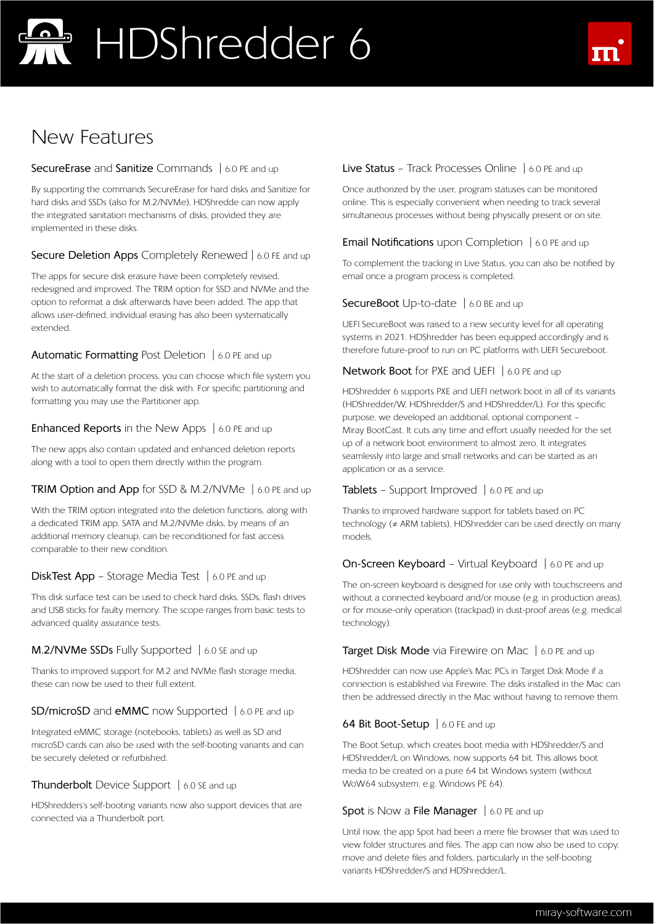### New Features

#### **SecureErase** and **Sanitize** Commands | 6.0 PE and up

By supporting the commands SecureErase for hard disks and Sanitize for hard disks and SSDs (also for M.2/NVMe), HDShredde can now apply the integrated sanitation mechanisms of disks, provided they are implemented in these disks.

#### **Secure Deletion Apps** Completely Renewed | 6.0 FE and up

The apps for secure disk erasure have been completely revised, redesigned and improved. The TRIM option for SSD and NVMe and the option to reformat a disk afterwards have been added. The app that allows user-defined, individual erasing has also been systematically extended.

#### **Automatic Formatting** Post Deletion | 6.0 PE and up

At the start of a deletion process, you can choose which file system you wish to automatically format the disk with. For specific partitioning and formatting you may use the Partitioner app.

#### **Enhanced Reports** in the New Apps | 6.0 PE and up

The new apps also contain updated and enhanced deletion reports along with a tool to open them directly within the program.

#### **TRIM Option and App** for SSD & M.2/NVMe | 6.0 PE and up

With the TRIM option integrated into the deletion functions, along with a dedicated TRIM app, SATA and M.2/NVMe disks, by means of an additional memory cleanup, can be reconditioned for fast access comparable to their new condition.

#### **DiskTest App** – Storage Media Test | 6.0 PE and up

This disk surface test can be used to check hard disks, SSDs, flash drives and USB sticks for faulty memory. The scope ranges from basic tests to advanced quality assurance tests.

#### **M.2/NVMe SSDs** Fully Supported | 6.0 SE and up

Thanks to improved support for M.2 and NVMe flash storage media, these can now be used to their full extent.

#### **SD/microSD** and **eMMC** now Supported | 6.0 PE and up

Integrated eMMC storage (notebooks, tablets) as well as SD and microSD cards can also be used with the self-booting variants and can be securely deleted or refurbished.

#### **Thunderbolt** Device Support | 6.0 SE and up

HDShredders's self-booting variants now also support devices that are connected via a Thunderbolt port.

#### **Live Status** – Track Processes Online | 6.0 PE and up

Once authorized by the user, program statuses can be monitored online. This is especially convenient when needing to track several simultaneous processes without being physically present or on site.

#### **Email Notifications** upon Completion | 6.0 PE and up

To complement the tracking in Live Status, you can also be notified by email once a program process is completed.

#### **SecureBoot** Up-to-date | 6.0 BE and up

UEFI SecureBoot was raised to a new security level for all operating systems in 2021. HDShredder has been equipped accordingly and is therefore future-proof to run on PC platforms with UEFI Secureboot.

#### **Network Boot** for PXE and UEFI | 6.0 PE and up

HDShredder 6 supports PXE and UEFI network boot in all of its variants (HDShredder/W, HDShredder/S and HDShredder/L). For this specific purpose, we developed an additional, optional component – Miray BootCast. It cuts any time and effort usually needed for the set up of a network boot environment to almost zero. It integrates seamlessly into large and small networks and can be started as an application or as a service.

#### **Tablets** – Support Improved | 6.0 PE and up

Thanks to improved hardware support for tablets based on PC technology (≠ ARM tablets), HDShredder can be used directly on many models.

#### **On-Screen Keyboard** – Virtual Keyboard | 6.0 PE and up

The on-screen keyboard is designed for use only with touchscreens and without a connected keyboard and/or mouse (e.g. in production areas), or for mouse-only operation (trackpad) in dust-proof areas (e.g. medical technology).

#### **Target Disk Mode** via Firewire on Mac | 6.0 PE and up

HDShredder can now use Apple's Mac PCs in Target Disk Mode if a connection is established via Firewire. The disks installed in the Mac can then be addressed directly in the Mac without having to remove them.

#### **64 Bit Boot-Setup** | 6.0 FE and up

The Boot Setup, which creates boot media with HDShredder/S and HDShredder/L on Windows, now supports 64 bit. This allows boot media to be created on a pure 64 bit Windows system (without WoW64 subsystem, e.g. Windows PE 64).

#### **Spot** is Now a **File Manager** | 6.0 PE and up

Until now, the app Spot had been a mere file browser that was used to view folder structures and files. The app can now also be used to copy, move and delete files and folders, particularly in the self-booting variants HDShredder/S and HDShredder/L.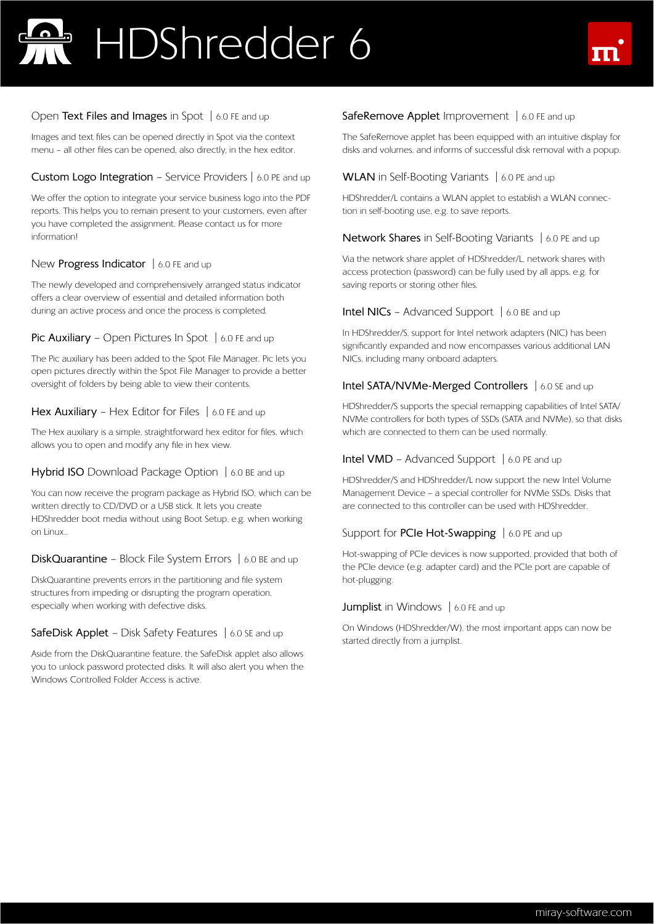

#### Open **Text Files and Images** in Spot | 6.0 FE and up

Images and text files can be opened directly in Spot via the context menu – all other files can be opened, also directly, in the hex editor.

#### **Custom Logo Integration** – Service Providers | 6.0 PE and up

We offer the option to integrate your service business logo into the PDF reports. This helps you to remain present to your customers, even after you have completed the assignment. Please contact us for more information!

#### New **Progress Indicator** | 6.0 FE and up

The newly developed and comprehensively arranged status indicator offers a clear overview of essential and detailed information both during an active process and once the process is completed.

#### **Pic Auxiliary** – Open Pictures In Spot | 6.0 FE and up

The Pic auxiliary has been added to the Spot File Manager. Pic lets you open pictures directly within the Spot File Manager to provide a better oversight of folders by being able to view their contents.

#### **Hex Auxiliary** – Hex Editor for Files | 6.0 FE and up

The Hex auxiliary is a simple, straightforward hex editor for files, which allows you to open and modify any file in hex view.

#### **Hybrid ISO** Download Package Option | 6.0 BE and up

You can now receive the program package as Hybrid ISO, which can be written directly to CD/DVD or a USB stick. It lets you create HDShredder boot media without using Boot Setup, e.g. when working on Linux..

#### **DiskQuarantine** – Block File System Errors | 6.0 BE and up

DiskQuarantine prevents errors in the partitioning and file system structures from impeding or disrupting the program operation, especially when working with defective disks.

#### **SafeDisk Applet** – Disk Safety Features | 6.0 SE and up

Aside from the DiskQuarantine feature, the SafeDisk applet also allows you to unlock password protected disks. It will also alert you when the Windows Controlled Folder Access is active.

#### **SafeRemove Applet** Improvement | 6.0 FE and up

The SafeRemove applet has been equipped with an intuitive display for disks and volumes, and informs of successful disk removal with a popup.

#### **WLAN** in Self-Booting Variants | 6.0 PE and up

HDShredder/L contains a WLAN applet to establish a WLAN connection in self-booting use, e.g. to save reports.

#### **Network Shares** in Self-Booting Variants | 6.0 PE and up

Via the network share applet of HDShredder/L, network shares with access protection (password) can be fully used by all apps, e.g. for saving reports or storing other files.

#### **Intel NICs** – Advanced Support | 6.0 BE and up

In HDShredder/S, support for Intel network adapters (NIC) has been significantly expanded and now encompasses various additional LAN NICs, including many onboard adapters.

#### **Intel SATA/NVMe-Merged Controllers** | 6.0 SE and up

HDShredder/S supports the special remapping capabilities of Intel SATA/ NVMe controllers for both types of SSDs (SATA and NVMe), so that disks which are connected to them can be used normally.

#### **Intel VMD** – Advanced Support | 6.0 PE and up

HDShredder/S and HDShredder/L now support the new Intel Volume Management Device – a special controller for NVMe SSDs. Disks that are connected to this controller can be used with HDShredder.

#### Support for **PCIe Hot-Swapping** | 6.0 PE and up

Hot-swapping of PCIe devices is now supported, provided that both of the PCIe device (e.g. adapter card) and the PCIe port are capable of hot-plugging.

#### **Jumplist** in Windows | 6.0 FE and up

On Windows (HDShredder/W), the most important apps can now be started directly from a jumplist.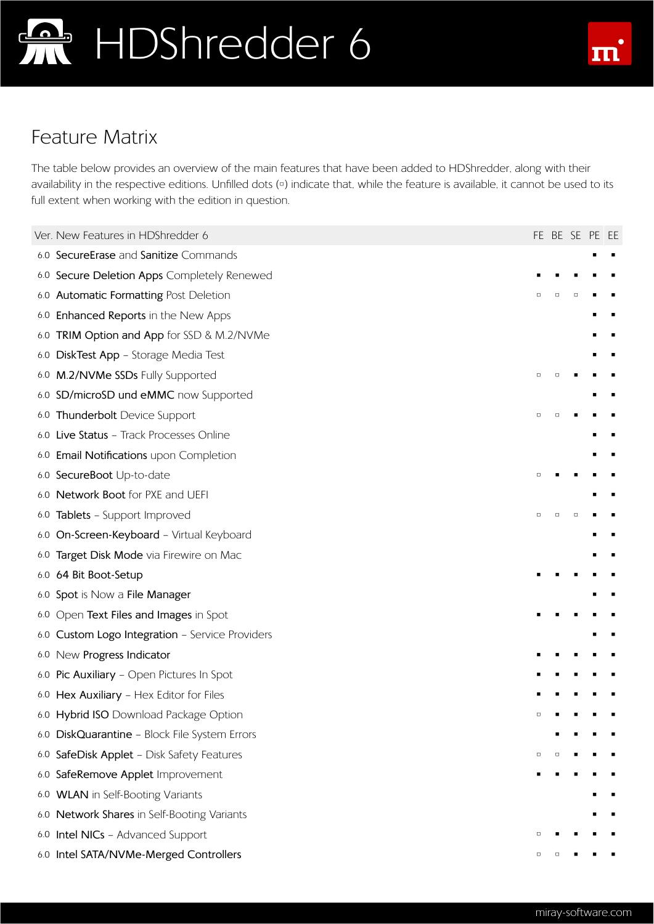

### Feature Matrix

The table below provides an overview of the main features that have been added to HDShredder, along with their availability in the respective editions. Unfilled dots (<sup>D</sup>) indicate that, while the feature is available, it cannot be used to its full extent when working with the edition in question.

|     | Ver. New Features in HDShredder 6             |        |        |   | FE BE SE PE EE |  |
|-----|-----------------------------------------------|--------|--------|---|----------------|--|
|     | 6.0 SecureErase and Sanitize Commands         |        |        |   |                |  |
|     | 6.0 Secure Deletion Apps Completely Renewed   |        |        |   |                |  |
|     | 6.0 Automatic Formatting Post Deletion        | $\Box$ | $\Box$ | Ο |                |  |
| 6.0 | Enhanced Reports in the New Apps              |        |        |   |                |  |
| 6.0 | TRIM Option and App for SSD & M.2/NVMe        |        |        |   |                |  |
| 6.0 | DiskTest App - Storage Media Test             |        |        |   |                |  |
|     | 6.0 M.2/NVMe SSDs Fully Supported             | $\Box$ |        |   |                |  |
|     | 6.0 SD/microSD und eMMC now Supported         |        |        |   |                |  |
| 6.0 | Thunderbolt Device Support                    | $\Box$ |        |   |                |  |
|     | 6.0 Live Status - Track Processes Online      |        |        |   |                |  |
| 6.0 | Email Notifications upon Completion           |        |        |   |                |  |
|     | 6.0 SecureBoot Up-to-date                     | □      |        |   |                |  |
|     | 6.0 Network Boot for PXE and UEFI             |        |        |   |                |  |
|     | 6.0 Tablets - Support Improved                | □      |        |   |                |  |
|     | 6.0 On-Screen-Keyboard - Virtual Keyboard     |        |        |   |                |  |
|     | 6.0 Target Disk Mode via Firewire on Mac      |        |        |   |                |  |
|     | 6.0 64 Bit Boot-Setup                         |        |        |   |                |  |
|     | 6.0 Spot is Now a File Manager                |        |        |   |                |  |
| 6.0 | Open Text Files and Images in Spot            |        |        |   |                |  |
| 6.0 | Custom Logo Integration - Service Providers   |        |        |   |                |  |
|     | 6.0 New Progress Indicator                    |        |        |   |                |  |
| 6.0 | Pic Auxiliary - Open Pictures In Spot         |        |        |   |                |  |
|     | 6.0 Hex Auxiliary - Hex Editor for Files      |        |        |   |                |  |
|     | 6.0 Hybrid ISO Download Package Option        |        |        |   |                |  |
|     | 6.0 DiskQuarantine - Block File System Errors |        |        |   |                |  |
| 6.0 | SafeDisk Applet - Disk Safety Features        | $\Box$ |        |   |                |  |
| 6.0 | SafeRemove Applet Improvement                 |        |        |   |                |  |
| 6.0 | <b>WLAN</b> in Self-Booting Variants          |        |        |   |                |  |
| 6.0 | Network Shares in Self-Booting Variants       |        |        |   |                |  |
| 6.0 | <b>Intel NICs - Advanced Support</b>          | □      |        |   |                |  |
|     | 6.0 Intel SATA/NVMe-Merged Controllers        | □      |        |   |                |  |
|     |                                               |        |        |   |                |  |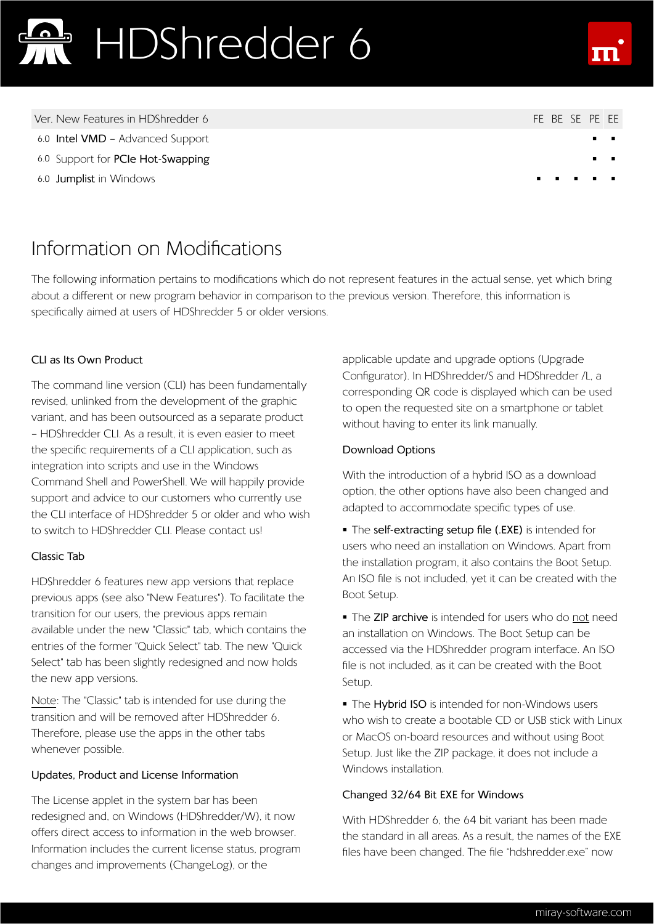

- 
- 
- 
- Ver. New Features in HDShredder 6 FE BE SE PE EE
- 6.0 **Intel VMD** Advanced Support
- 6.0 Support for **PCIe Hot-Swapping**
- 6.0 **Jumplist** in Windows

### Information on Modifications

The following information pertains to modifications which do not represent features in the actual sense, yet which bring about a different or new program behavior in comparison to the previous version. Therefore, this information is specifically aimed at users of HDShredder 5 or older versions.

#### **CLI as Its Own Product**

The command line version (CLI) has been fundamentally revised, unlinked from the development of the graphic variant, and has been outsourced as a separate product – HDShredder CLI. As a result, it is even easier to meet the specific requirements of a CLI application, such as integration into scripts and use in the Windows Command Shell and PowerShell. We will happily provide support and advice to our customers who currently use the CLI interface of HDShredder 5 or older and who wish to switch to HDShredder CLI. Please contact us!

#### **Classic Tab**

HDShredder 6 features new app versions that replace previous apps (see also "New Features"). To facilitate the transition for our users, the previous apps remain available under the new "Classic" tab, which contains the entries of the former "Quick Select" tab. The new "Quick Select" tab has been slightly redesigned and now holds the new app versions.

Note: The "Classic" tab is intended for use during the transition and will be removed after HDShredder 6. Therefore, please use the apps in the other tabs whenever possible.

#### **Updates, Product and License Information**

The License applet in the system bar has been redesigned and, on Windows (HDShredder/W), it now offers direct access to information in the web browser. Information includes the current license status, program changes and improvements (ChangeLog), or the

applicable update and upgrade options (Upgrade Configurator). In HDShredder/S and HDShredder /L, a corresponding QR code is displayed which can be used to open the requested site on a smartphone or tablet without having to enter its link manually.

#### **Download Options**

With the introduction of a hybrid ISO as a download option, the other options have also been changed and adapted to accommodate specific types of use.

 The **self-extracting setup file (.EXE)** is intended for users who need an installation on Windows. Apart from the installation program, it also contains the Boot Setup. An ISO file is not included, yet it can be created with the Boot Setup.

 The **ZIP archive** is intended for users who do not need an installation on Windows. The Boot Setup can be accessed via the HDShredder program interface. An ISO file is not included, as it can be created with the Boot Setup.

**The Hybrid ISO** is intended for non-Windows users who wish to create a bootable CD or USB stick with Linux or MacOS on-board resources and without using Boot Setup. Just like the ZIP package, it does not include a Windows installation.

#### **Changed 32/64 Bit EXE for Windows**

With HDShredder 6, the 64 bit variant has been made the standard in all areas. As a result, the names of the EXE files have been changed. The file "hdshredder.exe" now